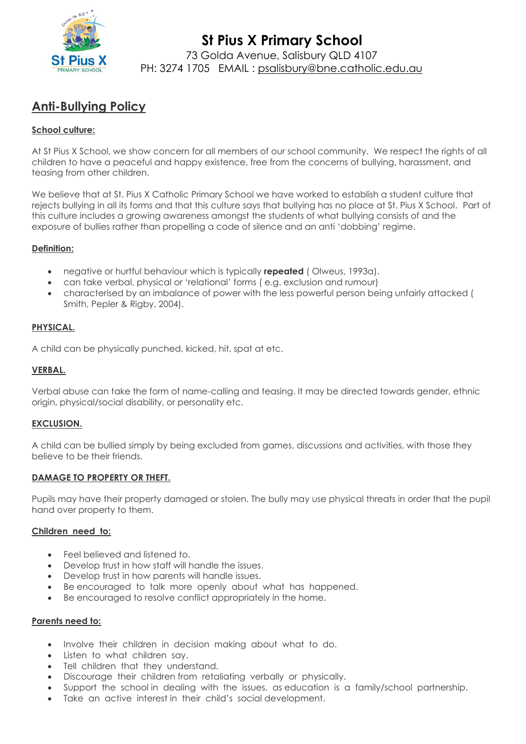

# **Anti-Bullying Policy**

# **School culture:**

At St Pius X School, we show concern for all members of our school community. We respect the rights of all children to have a peaceful and happy existence, free from the concerns of bullying, harassment, and teasing from other children.

We believe that at St. Pius X Catholic Primary School we have worked to establish a student culture that rejects bullying in all its forms and that this culture says that bullying has no place at St. Pius X School. Part of this culture includes a growing awareness amongst the students of what bullying consists of and the exposure of bullies rather than propelling a code of silence and an anti 'dobbing' regime.

## **Definition:**

- negative or hurtful behaviour which is typically **repeated** ( Olweus, 1993a).
- can take verbal, physical or 'relational' forms ( e.g. exclusion and rumour)
- characterised by an imbalance of power with the less powerful person being unfairly attacked ( Smith, Pepler & Rigby, 2004).

## **PHYSICAL.**

A child can be physically punched, kicked, hit, spat at etc.

## **VERBAL.**

Verbal abuse can take the form of name-calling and teasing. It may be directed towards gender, ethnic origin, physical/social disability, or personality etc.

## **EXCLUSION.**

A child can be bullied simply by being excluded from games, discussions and activities, with those they believe to be their friends.

#### **DAMAGE TO PROPERTY OR THEFT.**

Pupils may have their property damaged or stolen. The bully may use physical threats in order that the pupil hand over property to them.

#### **Children need to:**

- Feel believed and listened to.
- Develop trust in how staff will handle the issues.
- Develop trust in how parents will handle issues.
- Be encouraged to talk more openly about what has happened.
- Be encouraged to resolve conflict appropriately in the home.

#### **Parents need to:**

- Involve their children in decision making about what to do.
- Listen to what children sav.
- Tell children that they understand.
- Discourage their children from retaliating verbally or physically.
- Support the school in dealing with the issues, as education is a family/school partnership.
- Take an active interest in their child's social development.